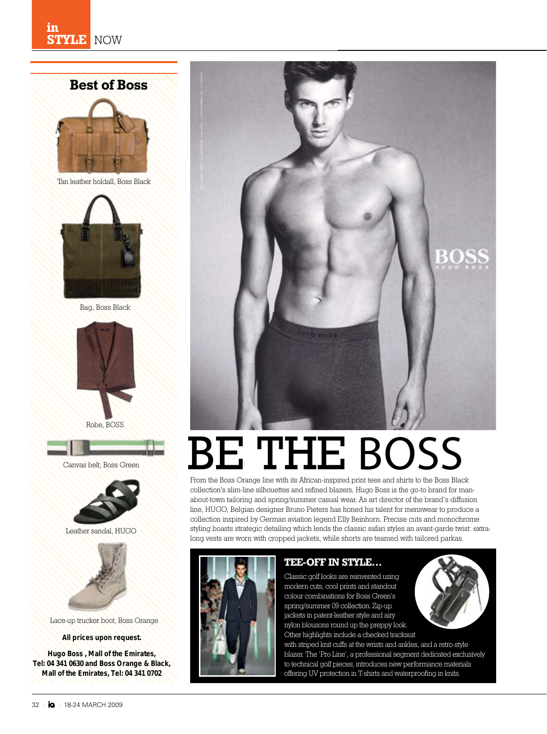# **Best of Boss**





Bag, Boss Black



Robe, BOSS





Leather sandal, HUGO



Lace-up trucker boot, Boss Orange

*All prices upon request.*

*Hugo Boss , Mall of the Emirates, Tel: 04 341 0630 and Boss Orange & Black, Mall of the Emirates, Tel: 04 341 0702*



# BE THE BOSS

From the Boss Orange line with its African-inspired print tees and shirts to the Boss Black collection's slim-line silhouettes and refined blazers, Hugo Boss is the go-to brand for manabout-town tailoring and spring/summer casual wear. As art director of the brand's diffusion line, HUGO, Belgian designer Bruno Pieters has honed his talent for menswear to produce a collection inspired by German aviation legend Elly Beinhorn. Precise cuts and monochrome styling boasts strategic detailing which lends the classic safari styles an avant-garde twist: extralong vests are worn with cropped jackets, while shorts are teamed with tailored parkas.



## **Tee-off in style…**

Classic golf looks are reinvented using modern cuts, cool prints and standout colour combinations for Boss Green's spring/summer 09 collection. Zip-up jackets in patent-leather style and airy nylon blousons round up the preppy look. Other highlights include a checked tracksuit

with striped knit cuffs at the wrists and ankles, and a retro-style blazer. The 'Pro Line', a professional segment dedicated exclusively to technical golf pieces, introduces new performance materials offering UV protection in T-shirts and waterproofing in knits.